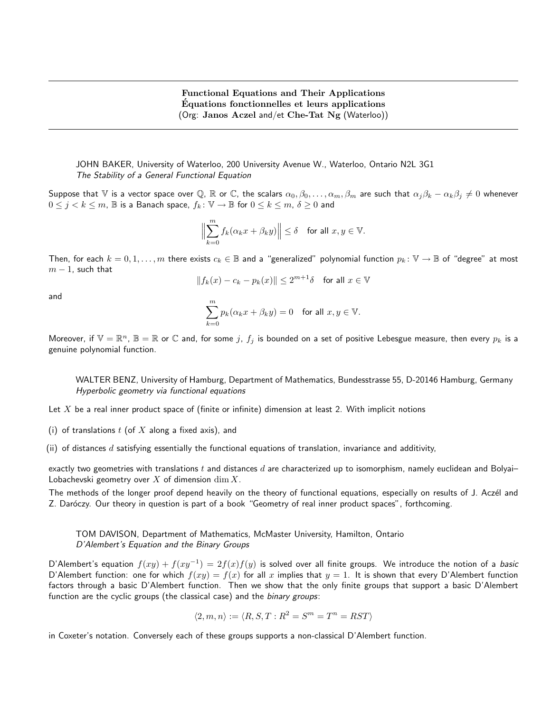JOHN BAKER, University of Waterloo, 200 University Avenue W., Waterloo, Ontario N2L 3G1 The Stability of a General Functional Equation

Suppose that V is a vector space over Q, R or C, the scalars  $\alpha_0, \beta_0, \ldots, \alpha_m, \beta_m$  are such that  $\alpha_j \beta_k - \alpha_k \beta_j \neq 0$  whenever  $0 \leq j < k \leq m$ ,  $\mathbb B$  is a Banach space,  $f_k \colon \mathbb V \to \mathbb B$  for  $0 \leq k \leq m$ ,  $\delta \geq 0$  and

$$
\Bigl\|\sum_{k=0}^m f_k(\alpha_k x+\beta_k y)\Bigr\|\leq \delta\quad\text{for all }x,y\in\mathbb{V}.
$$

Then, for each  $k = 0, 1, \ldots, m$  there exists  $c_k \in \mathbb{B}$  and a "generalized" polynomial function  $p_k : \mathbb{V} \to \mathbb{B}$  of "degree" at most  $m - 1$ , such that

$$
||f_k(x) - c_k - p_k(x)|| \le 2^{m+1}\delta \quad \text{for all } x \in \mathbb{V}
$$

and

$$
\sum_{k=0}^m p_k(\alpha_k x + \beta_k y) = 0 \quad \text{for all } x, y \in \mathbb{V}.
$$

Moreover, if  $\mathbb{V}=\mathbb{R}^n$ ,  $\mathbb{B}=\mathbb{R}$  or  $\mathbb C$  and, for some  $j$ ,  $f_j$  is bounded on a set of positive Lebesgue measure, then every  $p_k$  is a genuine polynomial function.

WALTER BENZ, University of Hamburg, Department of Mathematics, Bundesstrasse 55, D-20146 Hamburg, Germany Hyperbolic geometry via functional equations

- Let  $X$  be a real inner product space of (finite or infinite) dimension at least 2. With implicit notions
- (i) of translations  $t$  (of  $X$  along a fixed axis), and
- (ii) of distances d satisfying essentially the functional equations of translation, invariance and additivity,

exactly two geometries with translations  $t$  and distances  $d$  are characterized up to isomorphism, namely euclidean and Bolyai-Lobachevski geometry over  $X$  of dimension  $\dim X$ .

The methods of the longer proof depend heavily on the theory of functional equations, especially on results of J. Aczél and Z. Daróczy. Our theory in question is part of a book "Geometry of real inner product spaces", forthcoming.

TOM DAVISON, Department of Mathematics, McMaster University, Hamilton, Ontario D'Alembert's Equation and the Binary Groups

D'Alembert's equation  $f(xy) + f(xy^{-1}) = 2f(x)f(y)$  is solved over all finite groups. We introduce the notion of a basic D'Alembert function: one for which  $f(xy) = f(x)$  for all x implies that  $y = 1$ . It is shown that every D'Alembert function factors through a basic D'Alembert function. Then we show that the only finite groups that support a basic D'Alembert function are the cyclic groups (the classical case) and the *binary groups*:

$$
\langle 2, m, n \rangle := \langle R, S, T : R^2 = S^m = T^n = RST \rangle
$$

in Coxeter's notation. Conversely each of these groups supports a non-classical D'Alembert function.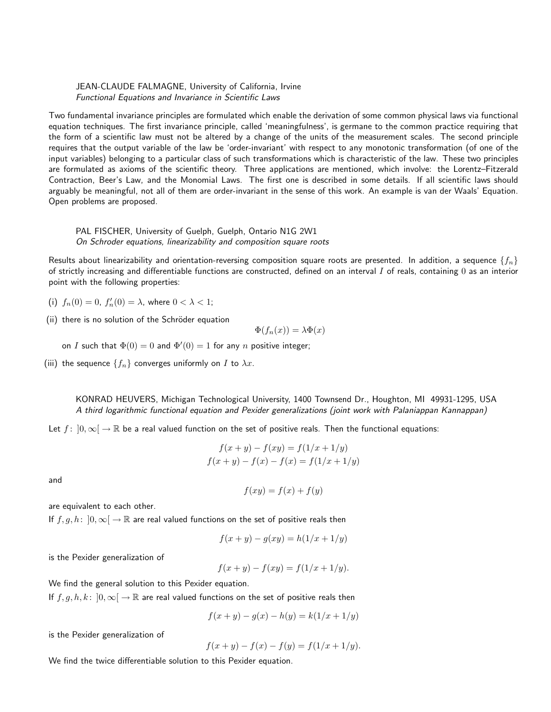JEAN-CLAUDE FALMAGNE, University of California, Irvine Functional Equations and Invariance in Scientific Laws

Two fundamental invariance principles are formulated which enable the derivation of some common physical laws via functional equation techniques. The first invariance principle, called 'meaningfulness', is germane to the common practice requiring that the form of a scientific law must not be altered by a change of the units of the measurement scales. The second principle requires that the output variable of the law be 'order-invariant' with respect to any monotonic transformation (of one of the input variables) belonging to a particular class of such transformations which is characteristic of the law. These two principles are formulated as axioms of the scientific theory. Three applications are mentioned, which involve: the Lorentz–Fitzerald Contraction, Beer's Law, and the Monomial Laws. The first one is described in some details. If all scientific laws should arguably be meaningful, not all of them are order-invariant in the sense of this work. An example is van der Waals' Equation. Open problems are proposed.

PAL FISCHER, University of Guelph, Guelph, Ontario N1G 2W1 On Schroder equations, linearizability and composition square roots

Results about linearizability and orientation-reversing composition square roots are presented. In addition, a sequence  $\{f_n\}$ of strictly increasing and differentiable functions are constructed, defined on an interval  $I$  of reals, containing  $0$  as an interior point with the following properties:

(i)  $f_n(0) = 0$ ,  $f'_n(0) = \lambda$ , where  $0 < \lambda < 1$ ;

(ii) there is no solution of the Schröder equation

 $\Phi(f_n(x)) = \lambda \Phi(x)$ 

on I such that  $\Phi(0) = 0$  and  $\Phi'(0) = 1$  for any n positive integer;

(iii) the sequence  $\{f_n\}$  converges uniformly on I to  $\lambda x$ .

KONRAD HEUVERS, Michigan Technological University, 1400 Townsend Dr., Houghton, MI 49931-1295, USA A third logarithmic functional equation and Pexider generalizations (joint work with Palaniappan Kannappan)

Let  $f: [0,\infty] \to \mathbb{R}$  be a real valued function on the set of positive reals. Then the functional equations:

$$
f(x + y) - f(xy) = f(1/x + 1/y)
$$
  

$$
f(x + y) - f(x) - f(x) = f(1/x + 1/y)
$$

and

$$
f(xy) = f(x) + f(y)
$$

are equivalent to each other.

If  $f, g, h: [0, \infty] \to \mathbb{R}$  are real valued functions on the set of positive reals then

$$
f(x + y) - g(xy) = h(1/x + 1/y)
$$

is the Pexider generalization of

$$
f(x + y) - f(xy) = f(1/x + 1/y).
$$

We find the general solution to this Pexider equation.

If  $f, g, h, k : [0, \infty] \to \mathbb{R}$  are real valued functions on the set of positive reals then

$$
f(x + y) - g(x) - h(y) = k(1/x + 1/y)
$$

is the Pexider generalization of

$$
f(x + y) - f(x) - f(y) = f(1/x + 1/y).
$$

We find the twice differentiable solution to this Pexider equation.